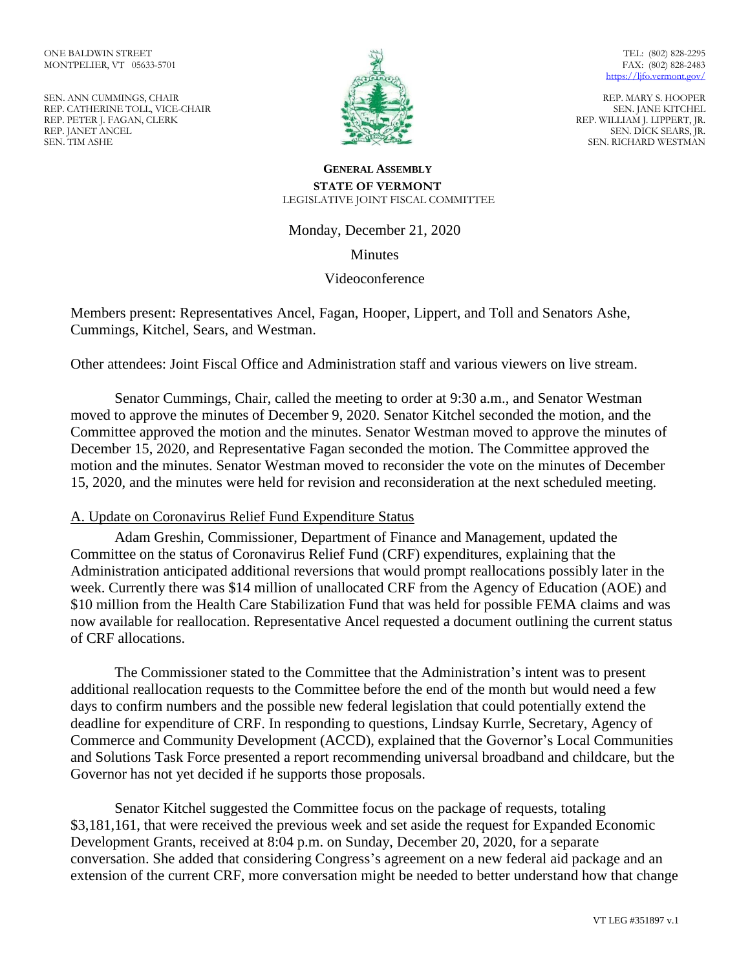SEN. ANN CUMMINGS, CHAIR REP. CATHERINE TOLL, VICE-CHAIR REP. PETER J. FAGAN, CLERK REP. JANET ANCEL SEN. TIM ASHE



TEL: (802) 828-2295 FAX: (802) 828-2483 https://lifo.vermont.gov/

REP. MARY S. HOOPER SEN. JANE KITCHEL REP. WILLIAM J. LIPPERT, JR. SEN. DICK SEARS, JR. SEN. RICHARD WESTMAN

### **GENERAL ASSEMBLY STATE OF VERMONT** LEGISLATIVE JOINT FISCAL COMMITTEE

Monday, December 21, 2020

Minutes

## Videoconference

Members present: Representatives Ancel, Fagan, Hooper, Lippert, and Toll and Senators Ashe, Cummings, Kitchel, Sears, and Westman.

Other attendees: Joint Fiscal Office and Administration staff and various viewers on live stream.

Senator Cummings, Chair, called the meeting to order at 9:30 a.m., and Senator Westman moved to approve the minutes of December 9, 2020. Senator Kitchel seconded the motion, and the Committee approved the motion and the minutes. Senator Westman moved to approve the minutes of December 15, 2020, and Representative Fagan seconded the motion. The Committee approved the motion and the minutes. Senator Westman moved to reconsider the vote on the minutes of December 15, 2020, and the minutes were held for revision and reconsideration at the next scheduled meeting.

## A. Update on Coronavirus Relief Fund Expenditure Status

Adam Greshin, Commissioner, Department of Finance and Management, updated the Committee on the status of Coronavirus Relief Fund (CRF) expenditures, explaining that the Administration anticipated additional reversions that would prompt reallocations possibly later in the week. Currently there was \$14 million of unallocated CRF from the Agency of Education (AOE) and \$10 million from the Health Care Stabilization Fund that was held for possible FEMA claims and was now available for reallocation. Representative Ancel requested a document outlining the current status of CRF allocations.

The Commissioner stated to the Committee that the Administration's intent was to present additional reallocation requests to the Committee before the end of the month but would need a few days to confirm numbers and the possible new federal legislation that could potentially extend the deadline for expenditure of CRF. In responding to questions, Lindsay Kurrle, Secretary, Agency of Commerce and Community Development (ACCD), explained that the Governor's Local Communities and Solutions Task Force presented a report recommending universal broadband and childcare, but the Governor has not yet decided if he supports those proposals.

Senator Kitchel suggested the Committee focus on the package of requests, totaling \$3,181,161, that were received the previous week and set aside the request for Expanded Economic Development Grants, received at 8:04 p.m. on Sunday, December 20, 2020, for a separate conversation. She added that considering Congress's agreement on a new federal aid package and an extension of the current CRF, more conversation might be needed to better understand how that change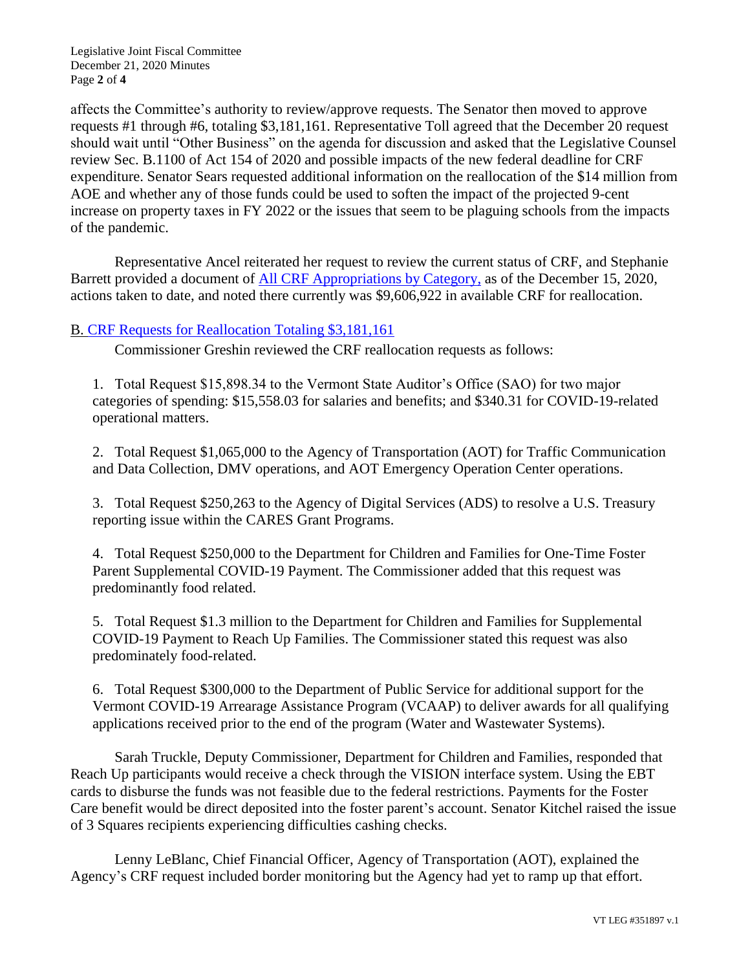Legislative Joint Fiscal Committee December 21, 2020 Minutes Page **2** of **4**

affects the Committee's authority to review/approve requests. The Senator then moved to approve requests #1 through #6, totaling \$3,181,161. Representative Toll agreed that the December 20 request should wait until "Other Business" on the agenda for discussion and asked that the Legislative Counsel review Sec. B.1100 of Act 154 of 2020 and possible impacts of the new federal deadline for CRF expenditure. Senator Sears requested additional information on the reallocation of the \$14 million from AOE and whether any of those funds could be used to soften the impact of the projected 9-cent increase on property taxes in FY 2022 or the issues that seem to be plaguing schools from the impacts of the pandemic.

Representative Ancel reiterated her request to review the current status of CRF, and Stephanie Barrett provided a document of [All CRF Appropriations by Category,](https://ljfo.vermont.gov/assets/Meetings/Joint-Fiscal-Committee/2020-12-21/9fa5880f17/All_CRF_appropriations_by_category.pdf) as of the December 15, 2020, actions taken to date, and noted there currently was \$9,606,922 in available CRF for reallocation.

## B. [CRF Requests for Reallocation Totaling \\$3,181,161](https://ljfo.vermont.gov/assets/Meetings/Joint-Fiscal-Committee/2020-12-21/142ef0ebfb/CRF-Reallocation-Requests-December-18-2020.pdf)

Commissioner Greshin reviewed the CRF reallocation requests as follows:

1. Total Request \$15,898.34 to the Vermont State Auditor's Office (SAO) for two major categories of spending: \$15,558.03 for salaries and benefits; and \$340.31 for COVID-19-related operational matters.

2. Total Request \$1,065,000 to the Agency of Transportation (AOT) for Traffic Communication and Data Collection, DMV operations, and AOT Emergency Operation Center operations.

3. Total Request \$250,263 to the Agency of Digital Services (ADS) to resolve a U.S. Treasury reporting issue within the CARES Grant Programs.

4. Total Request \$250,000 to the Department for Children and Families for One-Time Foster Parent Supplemental COVID-19 Payment. The Commissioner added that this request was predominantly food related.

5. Total Request \$1.3 million to the Department for Children and Families for Supplemental COVID-19 Payment to Reach Up Families. The Commissioner stated this request was also predominately food-related.

6. Total Request \$300,000 to the Department of Public Service for additional support for the Vermont COVID-19 Arrearage Assistance Program (VCAAP) to deliver awards for all qualifying applications received prior to the end of the program (Water and Wastewater Systems).

Sarah Truckle, Deputy Commissioner, Department for Children and Families, responded that Reach Up participants would receive a check through the VISION interface system. Using the EBT cards to disburse the funds was not feasible due to the federal restrictions. Payments for the Foster Care benefit would be direct deposited into the foster parent's account. Senator Kitchel raised the issue of 3 Squares recipients experiencing difficulties cashing checks.

Lenny LeBlanc, Chief Financial Officer, Agency of Transportation (AOT), explained the Agency's CRF request included border monitoring but the Agency had yet to ramp up that effort.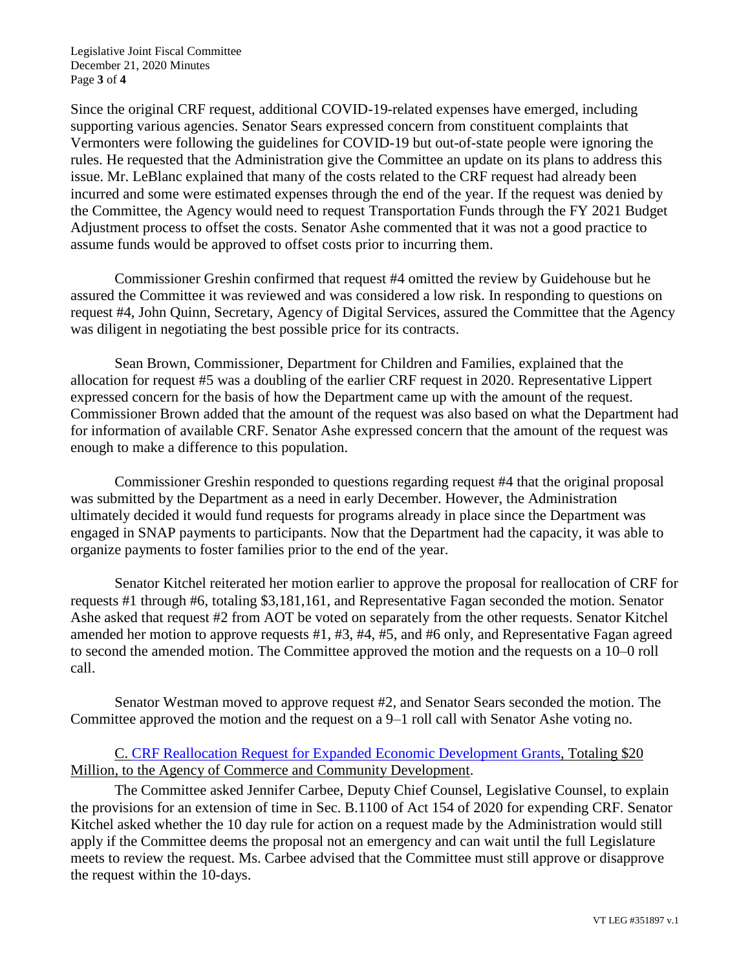Legislative Joint Fiscal Committee December 21, 2020 Minutes Page **3** of **4**

Since the original CRF request, additional COVID-19-related expenses have emerged, including supporting various agencies. Senator Sears expressed concern from constituent complaints that Vermonters were following the guidelines for COVID-19 but out-of-state people were ignoring the rules. He requested that the Administration give the Committee an update on its plans to address this issue. Mr. LeBlanc explained that many of the costs related to the CRF request had already been incurred and some were estimated expenses through the end of the year. If the request was denied by the Committee, the Agency would need to request Transportation Funds through the FY 2021 Budget Adjustment process to offset the costs. Senator Ashe commented that it was not a good practice to assume funds would be approved to offset costs prior to incurring them.

Commissioner Greshin confirmed that request #4 omitted the review by Guidehouse but he assured the Committee it was reviewed and was considered a low risk. In responding to questions on request #4, John Quinn, Secretary, Agency of Digital Services, assured the Committee that the Agency was diligent in negotiating the best possible price for its contracts.

Sean Brown, Commissioner, Department for Children and Families, explained that the allocation for request #5 was a doubling of the earlier CRF request in 2020. Representative Lippert expressed concern for the basis of how the Department came up with the amount of the request. Commissioner Brown added that the amount of the request was also based on what the Department had for information of available CRF. Senator Ashe expressed concern that the amount of the request was enough to make a difference to this population.

Commissioner Greshin responded to questions regarding request #4 that the original proposal was submitted by the Department as a need in early December. However, the Administration ultimately decided it would fund requests for programs already in place since the Department was engaged in SNAP payments to participants. Now that the Department had the capacity, it was able to organize payments to foster families prior to the end of the year.

Senator Kitchel reiterated her motion earlier to approve the proposal for reallocation of CRF for requests #1 through #6, totaling \$3,181,161, and Representative Fagan seconded the motion. Senator Ashe asked that request #2 from AOT be voted on separately from the other requests. Senator Kitchel amended her motion to approve requests #1, #3, #4, #5, and #6 only, and Representative Fagan agreed to second the amended motion. The Committee approved the motion and the requests on a 10–0 roll call.

Senator Westman moved to approve request #2, and Senator Sears seconded the motion. The Committee approved the motion and the request on a 9–1 roll call with Senator Ashe voting no.

# C. CRF Reallocation Request [for Expanded Economic Development Grants,](https://ljfo.vermont.gov/assets/Meetings/Joint-Fiscal-Committee/2020-12-21/29d1e22638/CRF-Request-for-Expanded-Economic-Development-Grants-12-20-2020.pdf) Totaling \$20 Million, to the Agency of Commerce and Community Development.

The Committee asked Jennifer Carbee, Deputy Chief Counsel, Legislative Counsel, to explain the provisions for an extension of time in Sec. B.1100 of Act 154 of 2020 for expending CRF. Senator Kitchel asked whether the 10 day rule for action on a request made by the Administration would still apply if the Committee deems the proposal not an emergency and can wait until the full Legislature meets to review the request. Ms. Carbee advised that the Committee must still approve or disapprove the request within the 10-days.